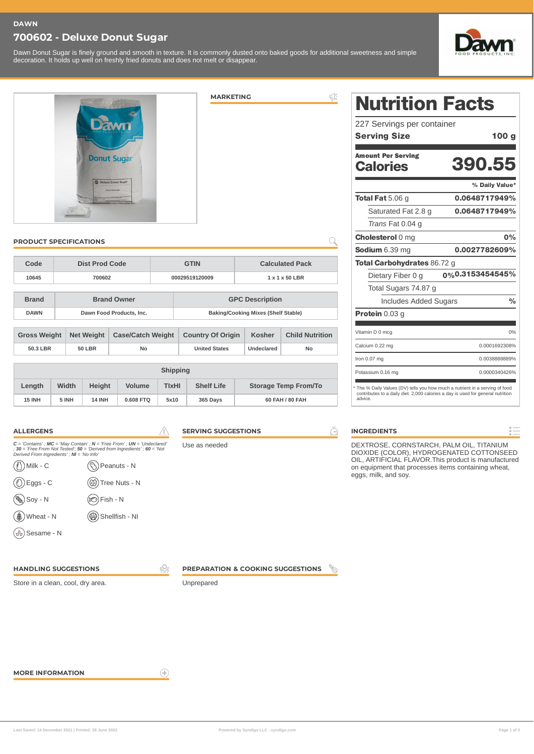#### **DAWN**

## **700602 - Deluxe Donut Sugar**

Dawn Donut Sugar is finely ground and smooth in texture. It is commonly dusted onto baked goods for additional sweetness and simple decoration. It holds up well on freshly fried donuts and does not melt or disappear.



390.55

0.0648717949% 0.0648717949%

% Daily Value\*

0.0027782609%

0% 0.3153454545%

0%

 $\frac{1}{\sqrt{2}}$ 

0%

0.0001692308% 0.0038888889% 0.0000340426%



 $\leqslant$ **MARKETING**

#### **PRODUCT SPECIFICATIONS**

| Code         | Dist Prod Code           | <b>GTIN</b>    | <b>Calculated Pack</b>              |  |  |
|--------------|--------------------------|----------------|-------------------------------------|--|--|
| 10645        | 700602                   | 00029519120009 | $1 \times 1 \times 50$ LBR          |  |  |
|              |                          |                |                                     |  |  |
| <b>Brand</b> | <b>Brand Owner</b>       |                | <b>GPC Description</b>              |  |  |
| <b>DAWN</b>  | Dawn Food Products, Inc. |                | Baking/Cooking Mixes (Shelf Stable) |  |  |

| <b>Gross Weight</b> |               | Net Weight   Case/Catch Weight   Country Of Origin |                      | <b>Kosher</b> | <b>Child Nutrition</b> |
|---------------------|---------------|----------------------------------------------------|----------------------|---------------|------------------------|
| 50.3 LBR            | <b>50 LBR</b> | No                                                 | <b>United States</b> | Undeclared    | No                     |
|                     |               |                                                    |                      |               |                        |

| <b>Shipping</b> |       |               |               |              |                   |                             |
|-----------------|-------|---------------|---------------|--------------|-------------------|-----------------------------|
| Length          | Width | <b>Height</b> | <b>Volume</b> | <b>TIXHI</b> | <b>Shelf Life</b> | <b>Storage Temp From/To</b> |
| <b>15 INH</b>   | 5 INH | <b>14 INH</b> | 0.608 FTO     | 5x10         | 365 Days          | 60 FAH / 80 FAH             |

| <b>ALLERGENS</b>                          |                                                                                                                                                             |
|-------------------------------------------|-------------------------------------------------------------------------------------------------------------------------------------------------------------|
| Derived From Ingredients'; NI = 'No Info' | $C =$ 'Contains'; MC = 'May Contain'; N = 'Free From'; UN = 'Undeclared'<br>$: 30 =$ 'Free From Not Tested'; $50 =$ 'Derived from Ingredients'; $60 =$ 'Not |
| $\binom{n}{1}$ Milk - C                   | (S) Peanuts - N                                                                                                                                             |

| $\big)$ Eggs - C      | (1) Tree Nuts - N   |
|-----------------------|---------------------|
| <sub></sub> ) Soy - N | <b>(C)</b> Fish - N |
| g) Wheat - N          | (Shellfish - NI     |

Sesame - N

**SERVING SUGGESTIONS**

Use as needed



**INGREDIENTS**

advice.

п,

DEXTROSE, CORNSTARCH, PALM OIL, TITANIUM DIOXIDE (COLOR), HYDROGENATED COTTONSEED OIL, ARTIFICIAL FLAVOR.This product is manufactured on equipment that processes items containing wheat, eggs, milk, and soy.

\* The % Daily Values (DV) tells you how much a nutrient in a serving of food contributes to a daily diet. 2,000 calories a day is used for general nutrition

Nutrition Facts

Serving Size 100 g

227 Servings per container

Amount Per Serving **Calories** 

Total Fat 5.06 g

 $\bigcirc$ 

Protein 0.03 g

Vitamin D 0 mcg Calcium 0.22 mg Iron 0.07 mg Potassium 0.16 mg

г

Saturated Fat 2.8 g *Trans* Fat 0.04 g Cholesterol 0 mg Sodium 6.39 mg

Total Carbohydrates 86.72 g Dietary Fiber 0 g Total Sugars 74.87 g

Includes Added Sugars

**HANDLING SUGGESTIONS**

Store in a clean, cool, dry area.

Unprepared

**MORE INFORMATION**

 $\left( \widehat{+}\right)$ 

\$2

**PREPARATION & COOKING SUGGESTIONS**